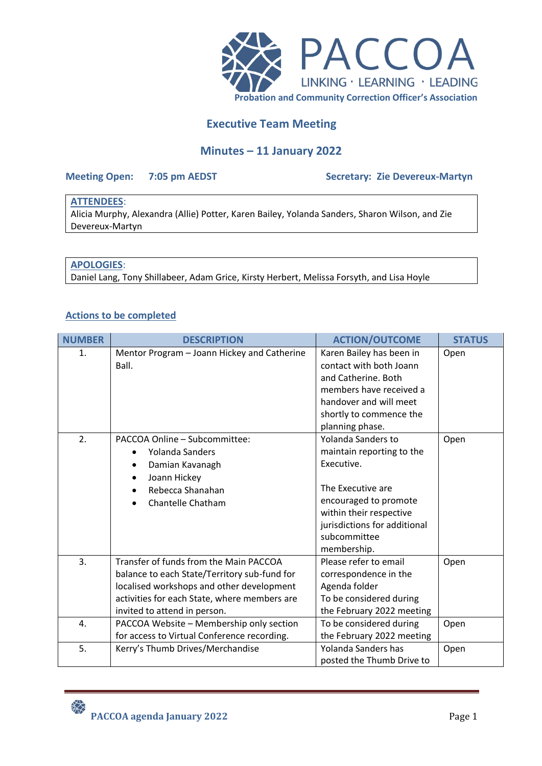

# **Executive Team Meeting**

## **Minutes – 11 January 2022**

### **Meeting Open: 7:05 pm AEDST Secretary: Zie Devereux-Martyn**

## **ATTENDEES**:

Alicia Murphy, Alexandra (Allie) Potter, Karen Bailey, Yolanda Sanders, Sharon Wilson, and Zie Devereux-Martyn

## **APOLOGIES**:

Daniel Lang, Tony Shillabeer, Adam Grice, Kirsty Herbert, Melissa Forsyth, and Lisa Hoyle

## **Actions to be completed**

| <b>NUMBER</b> | <b>DESCRIPTION</b>                           | <b>ACTION/OUTCOME</b>        | <b>STATUS</b> |
|---------------|----------------------------------------------|------------------------------|---------------|
| 1.            | Mentor Program - Joann Hickey and Catherine  | Karen Bailey has been in     | Open          |
|               | Ball.                                        | contact with both Joann      |               |
|               |                                              | and Catherine. Both          |               |
|               |                                              | members have received a      |               |
|               |                                              | handover and will meet       |               |
|               |                                              | shortly to commence the      |               |
|               |                                              | planning phase.              |               |
| 2.            | PACCOA Online - Subcommittee:                | <b>Yolanda Sanders to</b>    | Open          |
|               | Yolanda Sanders                              | maintain reporting to the    |               |
|               | Damian Kavanagh                              | Executive.                   |               |
|               | Joann Hickey<br>٠                            |                              |               |
|               | Rebecca Shanahan                             | The Executive are            |               |
|               | Chantelle Chatham                            | encouraged to promote        |               |
|               |                                              | within their respective      |               |
|               |                                              | jurisdictions for additional |               |
|               |                                              | subcommittee                 |               |
|               |                                              | membership.                  |               |
| 3.            | Transfer of funds from the Main PACCOA       | Please refer to email        | Open          |
|               | balance to each State/Territory sub-fund for | correspondence in the        |               |
|               | localised workshops and other development    | Agenda folder                |               |
|               | activities for each State, where members are | To be considered during      |               |
|               | invited to attend in person.                 | the February 2022 meeting    |               |
| 4.            | PACCOA Website - Membership only section     | To be considered during      | Open          |
|               | for access to Virtual Conference recording.  | the February 2022 meeting    |               |
| 5.            | Kerry's Thumb Drives/Merchandise             | Yolanda Sanders has          | Open          |
|               |                                              | posted the Thumb Drive to    |               |

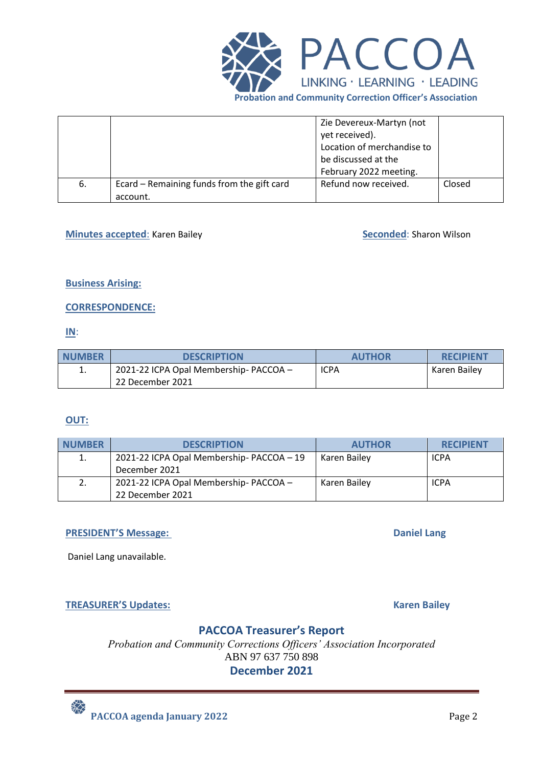

|    |                                                        | Zie Devereux-Martyn (not<br>yet received).<br>Location of merchandise to<br>be discussed at the<br>February 2022 meeting. |        |
|----|--------------------------------------------------------|---------------------------------------------------------------------------------------------------------------------------|--------|
| 6. | Ecard – Remaining funds from the gift card<br>account. | Refund now received.                                                                                                      | Closed |

## **Minutes accepted: Karen Bailey <b>Seconded: Sharon Wilson** Seconded: Sharon Wilson

### **Business Arising:**

### **CORRESPONDENCE:**

### **IN**:

| <b>NUMBER</b> | <b>DESCRIPTION</b>                     | <b>AUTHOR</b> | <b>RECIPIENT</b> |
|---------------|----------------------------------------|---------------|------------------|
| ∸.            | 2021-22 ICPA Opal Membership- PACCOA - | <b>ICPA</b>   | Karen Bailey     |
|               | 22 December 2021                       |               |                  |

## **OUT:**

| <b>NUMBER</b> | <b>DESCRIPTION</b>                        | <b>AUTHOR</b> | <b>RECIPIENT</b> |
|---------------|-------------------------------------------|---------------|------------------|
| 1.            | 2021-22 ICPA Opal Membership- PACCOA - 19 | Karen Bailey  | <b>ICPA</b>      |
|               | December 2021                             |               |                  |
|               | 2021-22 ICPA Opal Membership-PACCOA -     | Karen Bailey  | <b>ICPA</b>      |
|               | 22 December 2021                          |               |                  |

## **PRESIDENT'S Message: Daniel Lang**

Daniel Lang unavailable.

## **TREASURER'S Updates: Karen Bailey**

## **PACCOA Treasurer's Report**

*Probation and Community Corrections Officers' Association Incorporated* ABN 97 637 750 898

## **December 2021**

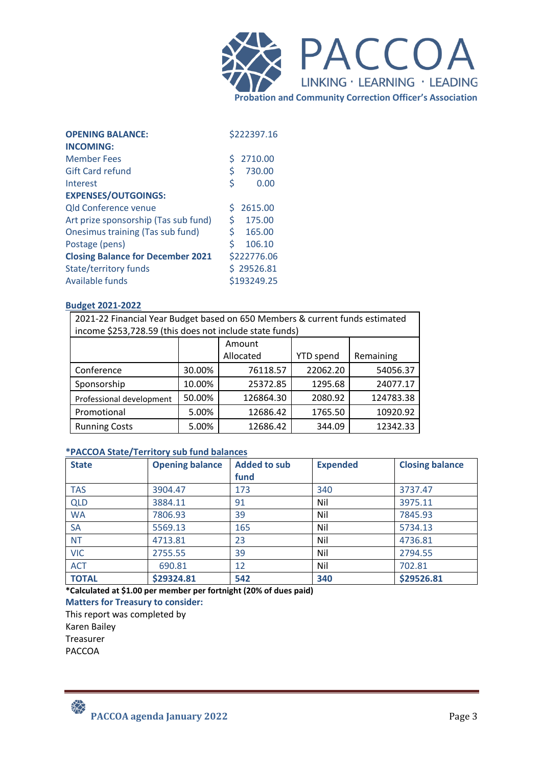

| <b>OPENING BALANCE:</b>                  |     | \$222397.16 |
|------------------------------------------|-----|-------------|
| <b>INCOMING:</b>                         |     |             |
| <b>Member Fees</b>                       | \$. | 2710.00     |
| <b>Gift Card refund</b>                  | \$  | 730.00      |
| Interest                                 | \$  | 0.00        |
| <b>EXPENSES/OUTGOINGS:</b>               |     |             |
| <b>Qld Conference venue</b>              | S.  | 2615.00     |
| Art prize sponsorship (Tas sub fund)     | \$  | 175.00      |
| Onesimus training (Tas sub fund)         | \$. | 165.00      |
| Postage (pens)                           | \$  | 106.10      |
| <b>Closing Balance for December 2021</b> |     | \$222776.06 |
| <b>State/territory funds</b>             |     | \$29526.81  |
| Available funds                          |     | \$193249.25 |

### **Budget 2021-2022**

| 2021-22 Financial Year Budget based on 650 Members & current funds estimated |                                            |          |          |           |  |  |
|------------------------------------------------------------------------------|--------------------------------------------|----------|----------|-----------|--|--|
| income \$253,728.59 (this does not include state funds)                      |                                            |          |          |           |  |  |
| Amount                                                                       |                                            |          |          |           |  |  |
|                                                                              | Allocated<br><b>YTD</b> spend<br>Remaining |          |          |           |  |  |
| Conference                                                                   | 30.00%                                     | 76118.57 | 22062.20 | 54056.37  |  |  |
| Sponsorship                                                                  | 10.00%                                     | 25372.85 | 1295.68  | 24077.17  |  |  |
| 50.00%<br>2080.92<br>126864.30<br>Professional development                   |                                            |          |          | 124783.38 |  |  |
| Promotional                                                                  | 5.00%                                      | 12686.42 | 1765.50  | 10920.92  |  |  |
| 12342.33<br>5.00%<br><b>Running Costs</b><br>12686.42<br>344.09              |                                            |          |          |           |  |  |

#### **\*PACCOA State/Territory sub fund balances**

| <b>State</b> | <b>Opening balance</b> | <b>Added to sub</b><br>fund | <b>Expended</b> | <b>Closing balance</b> |
|--------------|------------------------|-----------------------------|-----------------|------------------------|
| <b>TAS</b>   | 3904.47                | 173                         | 340             | 3737.47                |
| <b>QLD</b>   | 3884.11                | 91                          | Nil             | 3975.11                |
| <b>WA</b>    | 7806.93                | 39                          | Nil             | 7845.93                |
| <b>SA</b>    | 5569.13                | 165                         | Nil             | 5734.13                |
| <b>NT</b>    | 4713.81                | 23                          | Nil             | 4736.81                |
| <b>VIC</b>   | 2755.55                | 39                          | Nil             | 2794.55                |
| <b>ACT</b>   | 690.81                 | 12                          | Nil             | 702.81                 |
| <b>TOTAL</b> | \$29324.81             | 542                         | 340             | \$29526.81             |

**\*Calculated at \$1.00 per member per fortnight (20% of dues paid)**

**Matters for Treasury to consider:**

This report was completed by

Karen Bailey

Treasurer PACCOA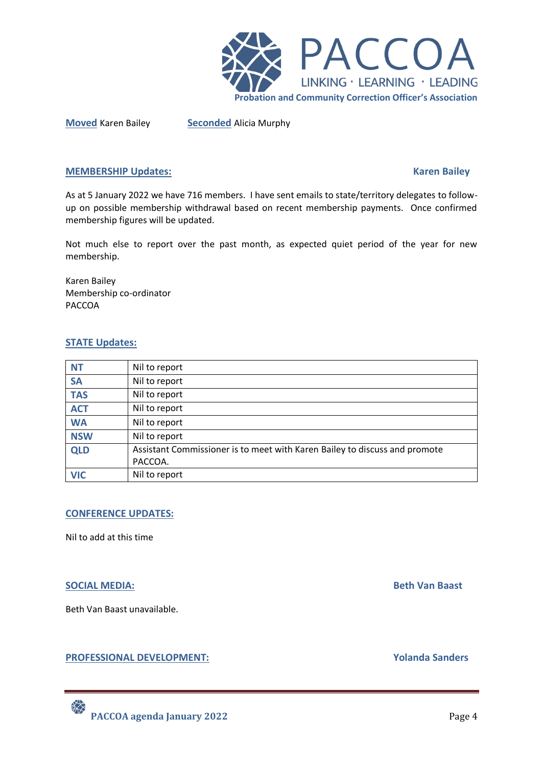

**Moved** Karen Bailey **Seconded** Alicia Murphy

### **MEMBERSHIP Updates:** Karen Bailey **Karen Bailey Research Bailey**

As at 5 January 2022 we have 716 members. I have sent emails to state/territory delegates to followup on possible membership withdrawal based on recent membership payments. Once confirmed membership figures will be updated.

Not much else to report over the past month, as expected quiet period of the year for new membership.

Karen Bailey Membership co-ordinator PACCOA

### **STATE Updates:**

| <b>NT</b>  | Nil to report                                                              |
|------------|----------------------------------------------------------------------------|
| <b>SA</b>  | Nil to report                                                              |
| <b>TAS</b> | Nil to report                                                              |
| <b>ACT</b> | Nil to report                                                              |
| <b>WA</b>  | Nil to report                                                              |
| <b>NSW</b> | Nil to report                                                              |
| <b>QLD</b> | Assistant Commissioner is to meet with Karen Bailey to discuss and promote |
|            | PACCOA.                                                                    |
| <b>VIC</b> | Nil to report                                                              |

## **CONFERENCE UPDATES:**

Nil to add at this time

## **SOCIAL MEDIA:** Beth Van Baast

Beth Van Baast unavailable.

## **PROFESSIONAL DEVELOPMENT:** Yolanda Sanders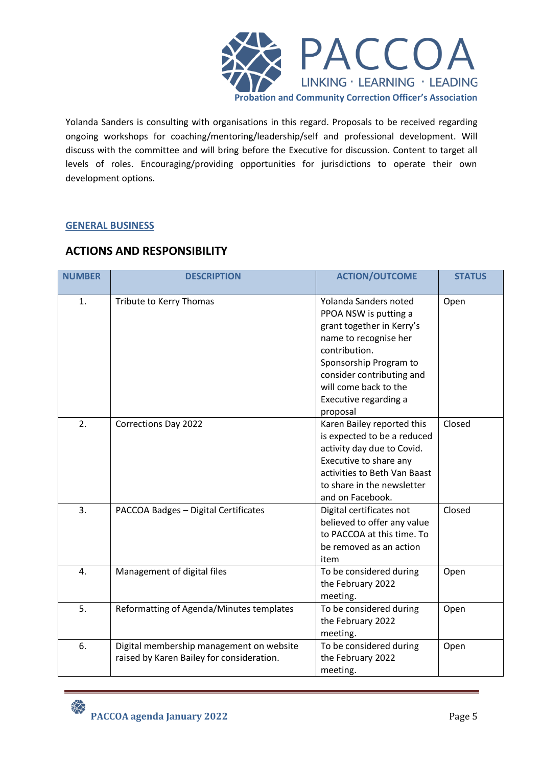

Yolanda Sanders is consulting with organisations in this regard. Proposals to be received regarding ongoing workshops for coaching/mentoring/leadership/self and professional development. Will discuss with the committee and will bring before the Executive for discussion. Content to target all levels of roles. Encouraging/providing opportunities for jurisdictions to operate their own development options.

## **GENERAL BUSINESS**

# **ACTIONS AND RESPONSIBILITY**

| <b>NUMBER</b> | <b>DESCRIPTION</b>                                                                    | <b>ACTION/OUTCOME</b>                                                                                                                                                                                                                      | <b>STATUS</b> |
|---------------|---------------------------------------------------------------------------------------|--------------------------------------------------------------------------------------------------------------------------------------------------------------------------------------------------------------------------------------------|---------------|
| 1.            | Tribute to Kerry Thomas                                                               | Yolanda Sanders noted<br>PPOA NSW is putting a<br>grant together in Kerry's<br>name to recognise her<br>contribution.<br>Sponsorship Program to<br>consider contributing and<br>will come back to the<br>Executive regarding a<br>proposal | Open          |
| 2.            | Corrections Day 2022                                                                  | Karen Bailey reported this<br>is expected to be a reduced<br>activity day due to Covid.<br>Executive to share any<br>activities to Beth Van Baast<br>to share in the newsletter<br>and on Facebook.                                        | Closed        |
| 3.            | PACCOA Badges - Digital Certificates                                                  | Digital certificates not<br>believed to offer any value<br>to PACCOA at this time. To<br>be removed as an action<br>item                                                                                                                   | Closed        |
| 4.            | Management of digital files                                                           | To be considered during<br>the February 2022<br>meeting.                                                                                                                                                                                   | Open          |
| 5.            | Reformatting of Agenda/Minutes templates                                              | To be considered during<br>the February 2022<br>meeting.                                                                                                                                                                                   | Open          |
| 6.            | Digital membership management on website<br>raised by Karen Bailey for consideration. | To be considered during<br>the February 2022<br>meeting.                                                                                                                                                                                   | Open          |